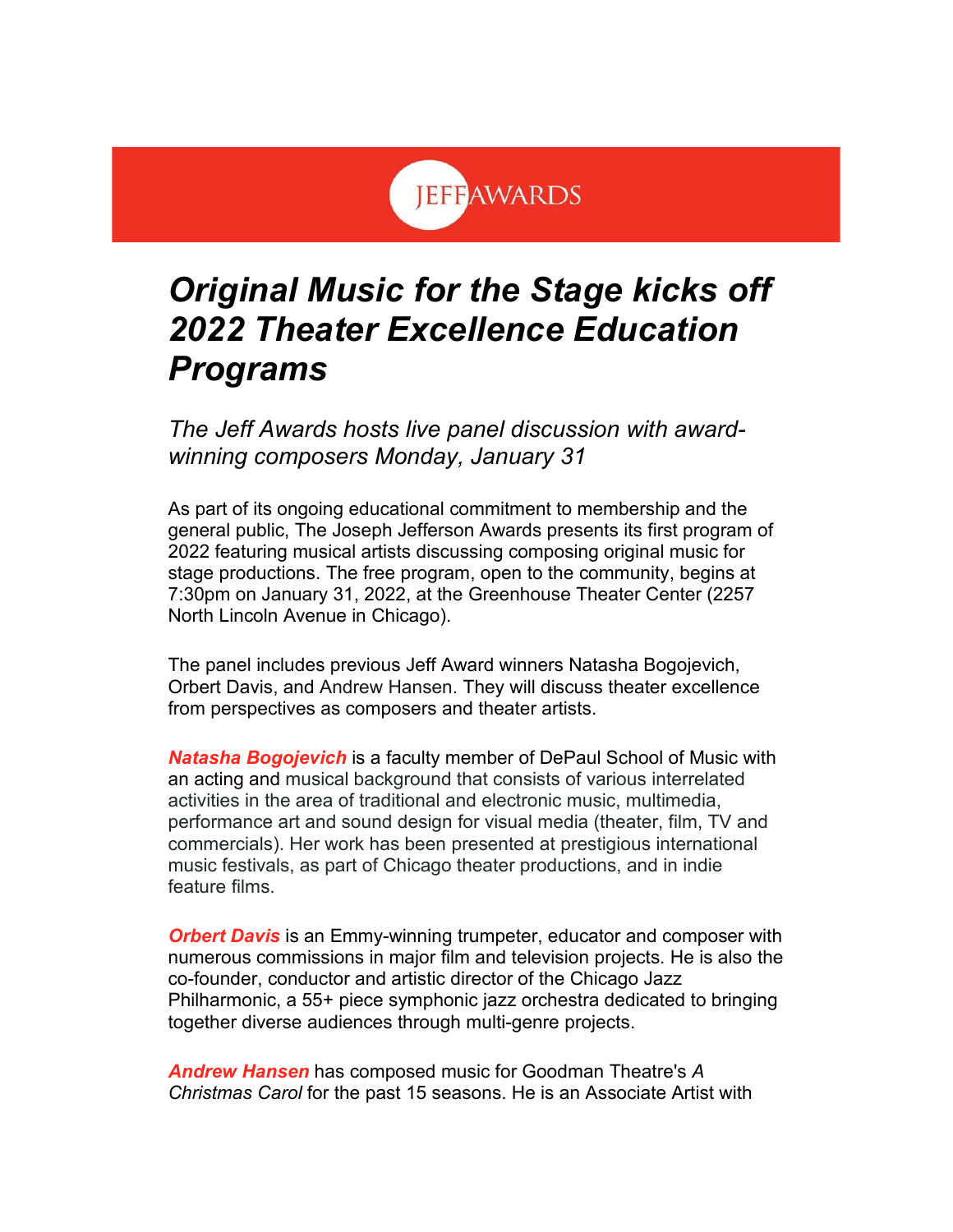

## *Original Music for the Stage kicks off 2022 Theater Excellence Education Programs*

*The Jeff Awards hosts live panel discussion with awardwinning composers Monday, January 31*

As part of its ongoing educational commitment to membership and the general public, The Joseph Jefferson Awards presents its first program of 2022 featuring musical artists discussing composing original music for stage productions. The free program, open to the community, begins at 7:30pm on January 31, 2022, at the Greenhouse Theater Center (2257 North Lincoln Avenue in Chicago).

The panel includes previous Jeff Award winners Natasha Bogojevich, Orbert Davis, and Andrew Hansen. They will discuss theater excellence from perspectives as composers and theater artists.

*Natasha Bogojevich* is a faculty member of DePaul School of Music with an acting and musical background that consists of various interrelated activities in the area of traditional and electronic music, multimedia, performance art and sound design for visual media (theater, film, TV and commercials). Her work has been presented at prestigious international music festivals, as part of Chicago theater productions, and in indie feature films.

*Orbert Davis* is an Emmy-winning trumpeter, educator and composer with numerous commissions in major film and television projects. He is also the co-founder, conductor and artistic director of the Chicago Jazz Philharmonic, a 55+ piece symphonic jazz orchestra dedicated to bringing together diverse audiences through multi-genre projects.

*Andrew Hansen* has composed music for Goodman Theatre's *A Christmas Carol* for the past 15 seasons. He is an Associate Artist with